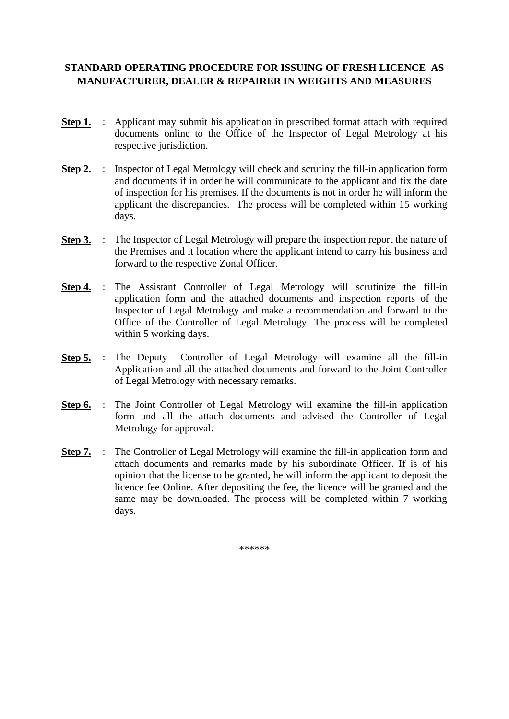# **STANDARD OPERATING PROCEDURE FOR ISSUING OF FRESH LICENCE AS MANUFACTURER, DEALER & REPAIRER IN WEIGHTS AND MEASURES**

- **Step 1.** : Applicant may submit his application in prescribed format attach with required documents online to the Office of the Inspector of Legal Metrology at his respective jurisdiction.
- **Step 2.** : Inspector of Legal Metrology will check and scrutiny the fill-in application form and documents if in order he will communicate to the applicant and fix the date of inspection for his premises. If the documents is not in order he will inform the applicant the discrepancies. The process will be completed within 15 working days.
- **Step 3.** : The Inspector of Legal Metrology will prepare the inspection report the nature of the Premises and it location where the applicant intend to carry his business and forward to the respective Zonal Officer.
- **Step 4.** : The Assistant Controller of Legal Metrology will scrutinize the fill-in application form and the attached documents and inspection reports of the Inspector of Legal Metrology and make a recommendation and forward to the Office of the Controller of Legal Metrology. The process will be completed within 5 working days.
- **Step 5.** : The Deputy Controller of Legal Metrology will examine all the fill-in Application and all the attached documents and forward to the Joint Controller of Legal Metrology with necessary remarks.
- **Step 6.** : The Joint Controller of Legal Metrology will examine the fill-in application form and all the attach documents and advised the Controller of Legal Metrology for approval.
- **Step 7.** : The Controller of Legal Metrology will examine the fill-in application form and attach documents and remarks made by his subordinate Officer. If is of his opinion that the license to be granted, he will inform the applicant to deposit the licence fee Online. After depositing the fee, the licence will be granted and the same may be downloaded. The process will be completed within 7 working days.

\*\*\*\*\*\*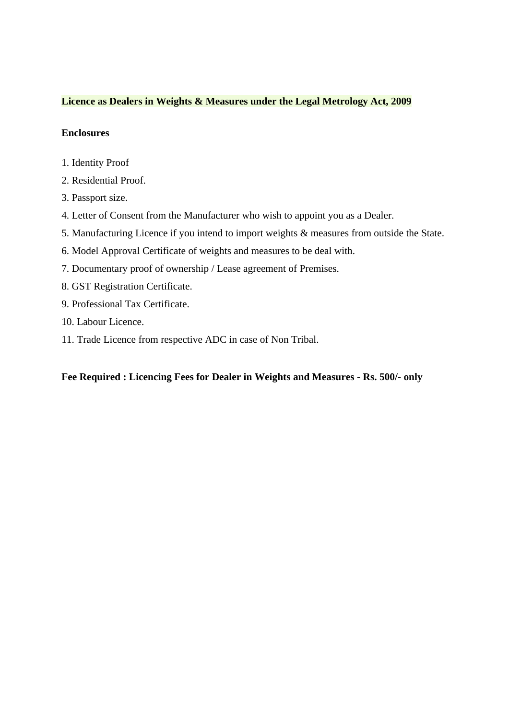#### **Licence as Dealers in Weights & Measures under the Legal Metrology Act, 2009**

#### **Enclosures**

- 1. Identity Proof
- 2. Residential Proof.
- 3. Passport size.
- 4. Letter of Consent from the Manufacturer who wish to appoint you as a Dealer.
- 5. Manufacturing Licence if you intend to import weights & measures from outside the State.
- 6. Model Approval Certificate of weights and measures to be deal with.
- 7. Documentary proof of ownership / Lease agreement of Premises.
- 8. GST Registration Certificate.
- 9. Professional Tax Certificate.
- 10. Labour Licence.
- 11. Trade Licence from respective ADC in case of Non Tribal.

**Fee Required : Licencing Fees for Dealer in Weights and Measures - Rs. 500/- only**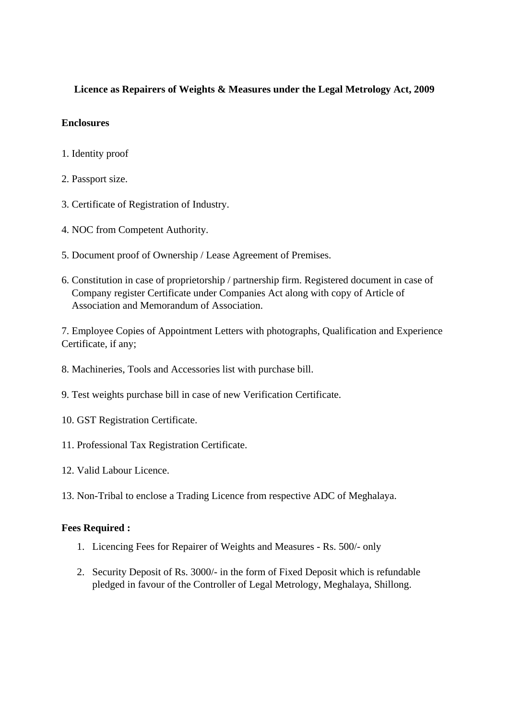## **Licence as Repairers of Weights & Measures under the Legal Metrology Act, 2009**

### **Enclosures**

- 1. Identity proof
- 2. Passport size.
- 3. Certificate of Registration of Industry.
- 4. NOC from Competent Authority.
- 5. Document proof of Ownership / Lease Agreement of Premises.
- 6. Constitution in case of proprietorship / partnership firm. Registered document in case of Company register Certificate under Companies Act along with copy of Article of Association and Memorandum of Association.

7. Employee Copies of Appointment Letters with photographs, Qualification and Experience Certificate, if any;

- 8. Machineries, Tools and Accessories list with purchase bill.
- 9. Test weights purchase bill in case of new Verification Certificate.
- 10. GST Registration Certificate.
- 11. Professional Tax Registration Certificate.
- 12. Valid Labour Licence.
- 13. Non-Tribal to enclose a Trading Licence from respective ADC of Meghalaya.

### **Fees Required :**

- 1. Licencing Fees for Repairer of Weights and Measures Rs. 500/- only
- 2. Security Deposit of Rs. 3000/- in the form of Fixed Deposit which is refundable pledged in favour of the Controller of Legal Metrology, Meghalaya, Shillong.